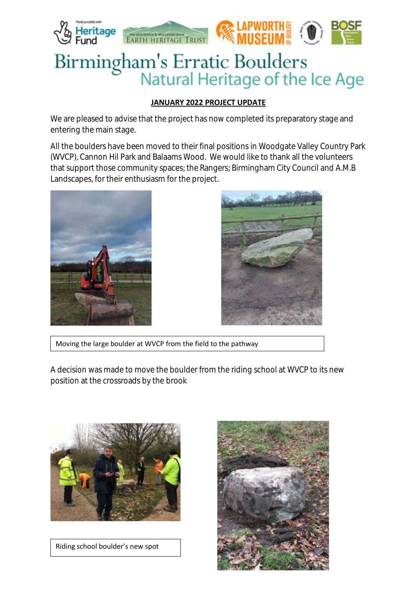

## **JANUARY 2022 PROJECT UPDATE**

We are pleased to advise that the project has now completed its preparatory stage and entering the main stage.

All the boulders have been moved to their final positions in Woodgate Valley Country Park (WVCP), Cannon Hil Park and Balaams Wood. We would like to thank all the volunteers that support those community spaces; the Rangers; Birmingham City Council and A.M.B Landscapes, for their enthusiasm for the project.





Moving the large boulder at WVCP from the field to the pathway

A decision was made to move the boulder from the riding school at WVCP to its new position at the crossroads by the brook



Riding school boulder's new spot

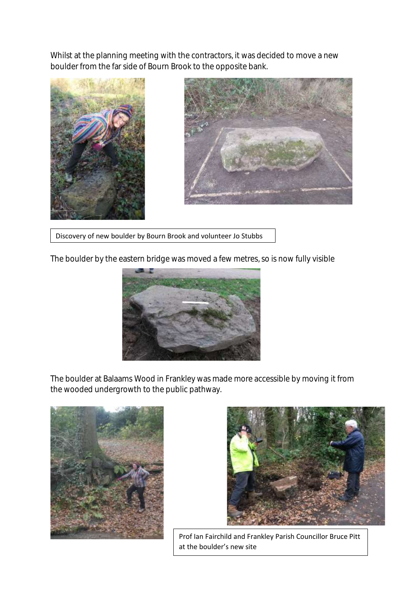Whilst at the planning meeting with the contractors, it was decided to move a new boulder from the far side of Bourn Brook to the opposite bank.





Discovery of new boulder by Bourn Brook and volunteer Jo Stubbs

The boulder by the eastern bridge was moved a few metres, so is now fully visible



The boulder at Balaams Wood in Frankley was made more accessible by moving it from the wooded undergrowth to the public pathway.





Prof Ian Fairchild and Frankley Parish Councillor Bruce Pitt at the boulder's new site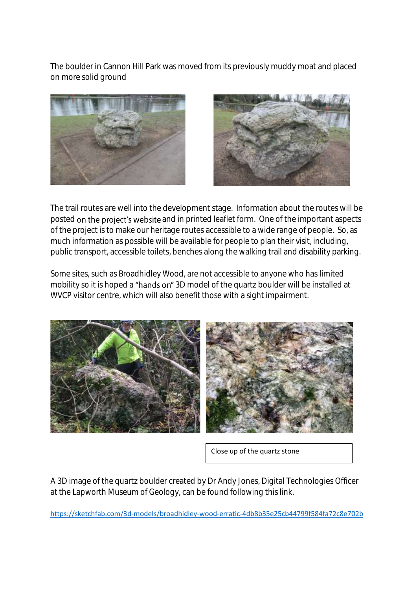The boulder in Cannon Hill Park was moved from its previously muddy moat and placed on more solid ground





The trail routes are well into the development stage. Information about the routes will be posted on the project's website and in printed leaflet form. One of the important aspects of the project is to make our heritage routes accessible to a wide range of people. So, as much information as possible will be available for people to plan their visit, including, public transport, accessible toilets, benches along the walking trail and disability parking.

Some sites, such as Broadhidley Wood, are not accessible to anyone who has limited mobility so it is hoped a "hands on" 3D model of the quartz boulder will be installed at WVCP visitor centre, which will also benefit those with a sight impairment.



Close up of the quartz stone

A 3D image of the quartz boulder created by Dr Andy Jones, Digital Technologies Officer at the Lapworth Museum of Geology, can be found following this link.

<https://sketchfab.com/3d-models/broadhidley-wood-erratic-4db8b35e25cb44799f584fa72c8e702b>